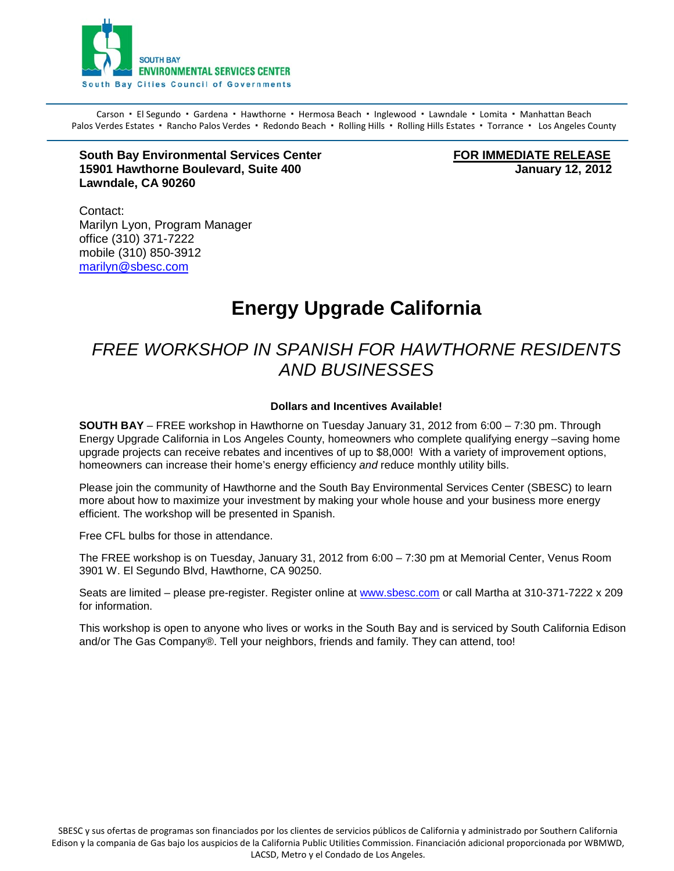

Carson · El Segundo · Gardena · Hawthorne · Hermosa Beach · Inglewood · Lawndale · Lomita · Manhattan Beach Palos Verdes Estates · Rancho Palos Verdes · Redondo Beach · Rolling Hills · Rolling Hills Estates · Torrance · Los Angeles County

#### **South Bay Environmental Services Center FOR IMMEDIATE RELEASE**<br>15901 Hawthorne Boulevard, Suite 400 **15901 Hawthorne Boulevard, Suite 400 Lawndale, CA 90260**

Contact: Marilyn Lyon, Program Manager office (310) 371-7222 mobile (310) 850-3912 [marilyn@sbesc.com](mailto:marilyn@sbesc.com)

# **Energy Upgrade California**

### *FREE WORKSHOP IN SPANISH FOR HAWTHORNE RESIDENTS AND BUSINESSES*

#### **Dollars and Incentives Available!**

**SOUTH BAY** – FREE workshop in Hawthorne on Tuesday January 31, 2012 from 6:00 – 7:30 pm. Through Energy Upgrade California in Los Angeles County, homeowners who complete qualifying energy –saving home upgrade projects can receive rebates and incentives of up to \$8,000! With a variety of improvement options, homeowners can increase their home's energy efficiency *and* reduce monthly utility bills.

Please join the community of Hawthorne and the South Bay Environmental Services Center (SBESC) to learn more about how to maximize your investment by making your whole house and your business more energy efficient. The workshop will be presented in Spanish.

Free CFL bulbs for those in attendance.

The FREE workshop is on Tuesday, January 31, 2012 from 6:00 – 7:30 pm at Memorial Center, Venus Room 3901 W. El Segundo Blvd, Hawthorne, CA 90250.

Seats are limited – please pre-register. Register online at [www.sbesc.com](http://www.sbesc.com/) or call Martha at 310-371-7222 x 209 for information.

This workshop is open to anyone who lives or works in the South Bay and is serviced by South California Edison and/or The Gas Company®. Tell your neighbors, friends and family. They can attend, too!